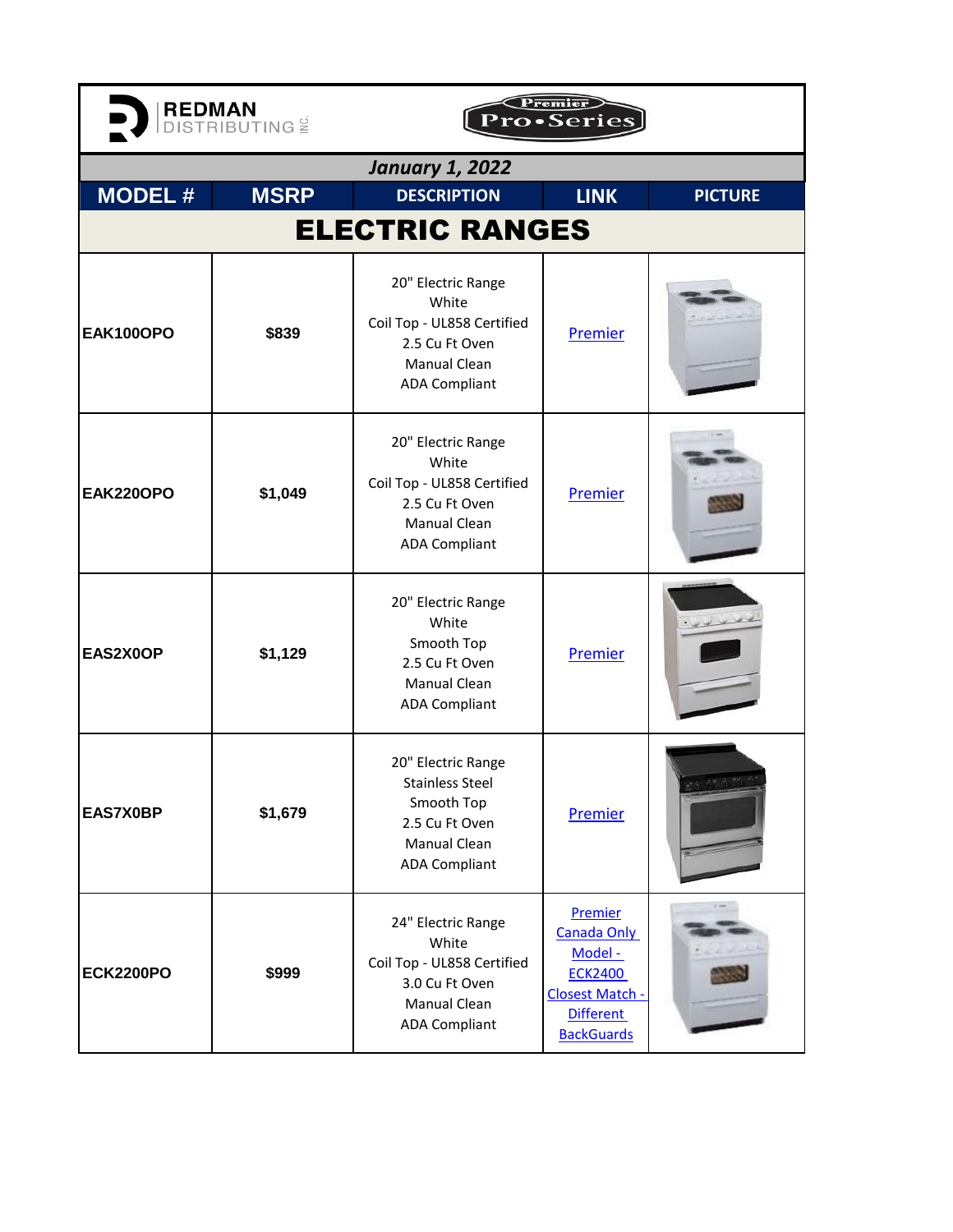REDMAN<br>DISTRIBUTING<sup>2</sup>

R



|                        |             | January 1, 2022                                                                                                      |                                                                                                                 |                |  |
|------------------------|-------------|----------------------------------------------------------------------------------------------------------------------|-----------------------------------------------------------------------------------------------------------------|----------------|--|
| <b>MODEL#</b>          | <b>MSRP</b> | <b>DESCRIPTION</b>                                                                                                   | <b>LINK</b>                                                                                                     | <b>PICTURE</b> |  |
| <b>ELECTRIC RANGES</b> |             |                                                                                                                      |                                                                                                                 |                |  |
| <b>EAK100OPO</b>       | \$839       | 20" Electric Range<br>White<br>Coil Top - UL858 Certified<br>2.5 Cu Ft Oven<br>Manual Clean<br><b>ADA Compliant</b>  | Premier                                                                                                         |                |  |
| <b>EAK220OPO</b>       | \$1,049     | 20" Electric Range<br>White<br>Coil Top - UL858 Certified<br>2.5 Cu Ft Oven<br>Manual Clean<br><b>ADA Compliant</b>  | Premier                                                                                                         |                |  |
| EAS2X0OP               | \$1,129     | 20" Electric Range<br>White<br>Smooth Top<br>2.5 Cu Ft Oven<br>Manual Clean<br><b>ADA Compliant</b>                  | Premier                                                                                                         |                |  |
| EAS7X0BP               | \$1,679     | 20" Electric Range<br><b>Stainless Steel</b><br>Smooth Top<br>2.5 Cu Ft Oven<br>Manual Clean<br><b>ADA Compliant</b> | Premier                                                                                                         |                |  |
| <b>ECK2200PO</b>       | \$999       | 24" Electric Range<br>White<br>Coil Top - UL858 Certified<br>3.0 Cu Ft Oven<br>Manual Clean<br><b>ADA Compliant</b>  | Premier<br>Canada Only<br>Model -<br><b>ECK2400</b><br>Closest Match -<br><b>Different</b><br><b>BackGuards</b> |                |  |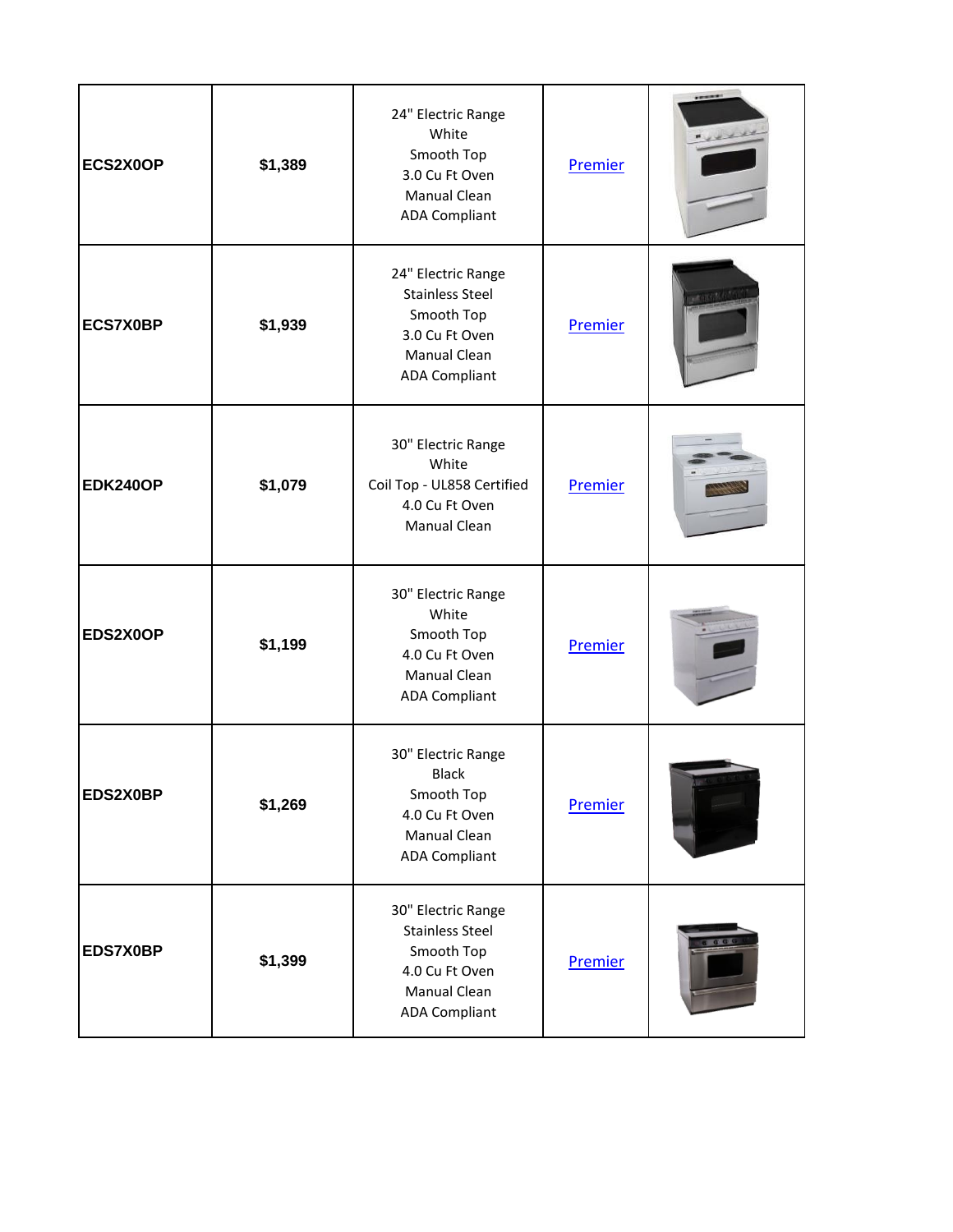| ECS2X0OP        | \$1,389 | 24" Electric Range<br>White<br>Smooth Top<br>3.0 Cu Ft Oven<br><b>Manual Clean</b><br><b>ADA Compliant</b>           | Premier |  |
|-----------------|---------|----------------------------------------------------------------------------------------------------------------------|---------|--|
| <b>ECS7X0BP</b> | \$1,939 | 24" Electric Range<br><b>Stainless Steel</b><br>Smooth Top<br>3.0 Cu Ft Oven<br>Manual Clean<br><b>ADA Compliant</b> | Premier |  |
| <b>EDK240OP</b> | \$1,079 | 30" Electric Range<br>White<br>Coil Top - UL858 Certified<br>4.0 Cu Ft Oven<br>Manual Clean                          | Premier |  |
| EDS2X0OP        | \$1,199 | 30" Electric Range<br>White<br>Smooth Top<br>4.0 Cu Ft Oven<br>Manual Clean<br><b>ADA Compliant</b>                  | Premier |  |
| EDS2X0BP        | \$1,269 | 30" Electric Range<br><b>Black</b><br>Smooth Top<br>4.0 Cu Ft Oven<br>Manual Clean<br><b>ADA Compliant</b>           | Premier |  |
| EDS7X0BP        | \$1,399 | 30" Electric Range<br><b>Stainless Steel</b><br>Smooth Top<br>4.0 Cu Ft Oven<br>Manual Clean<br><b>ADA Compliant</b> | Premier |  |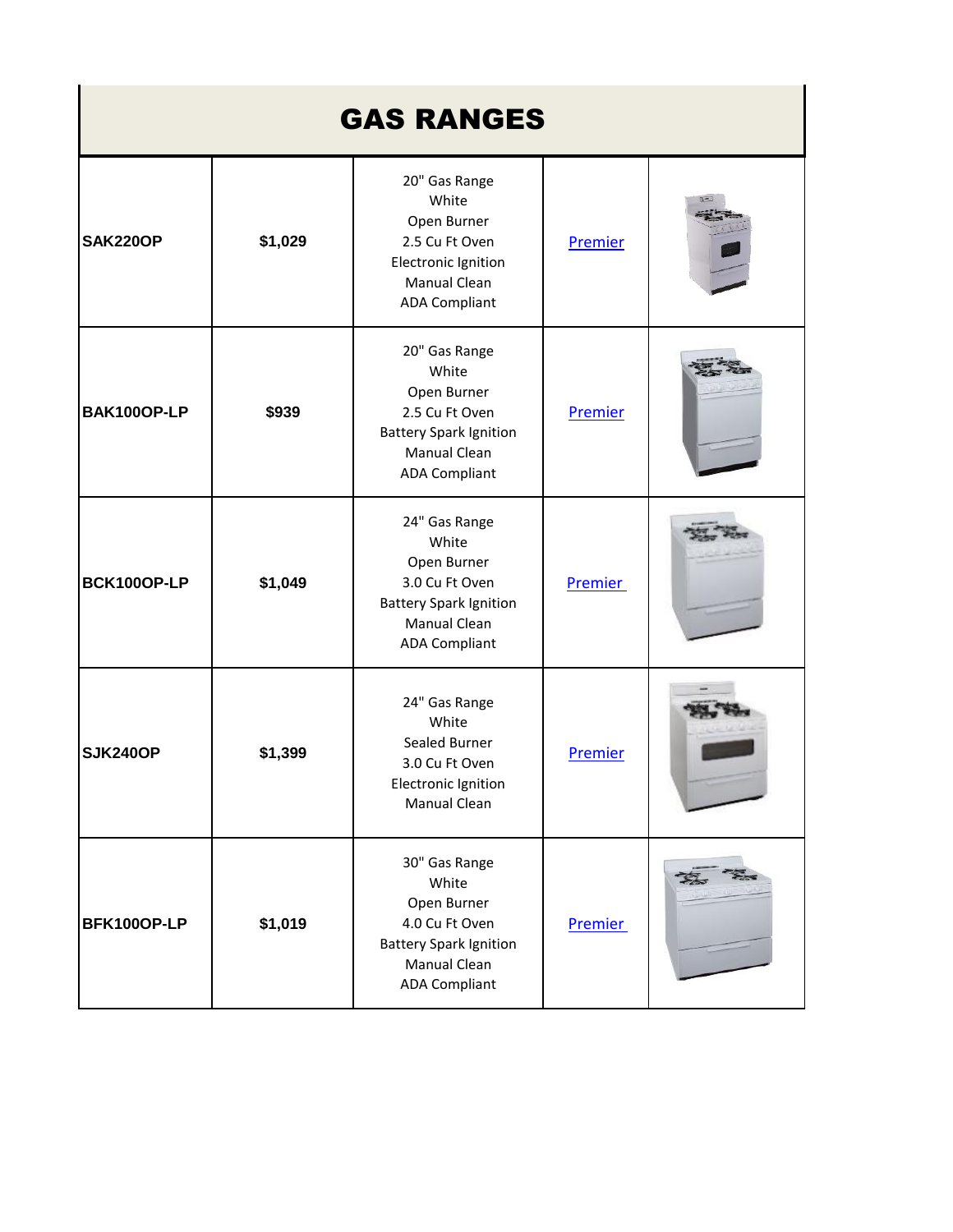| <b>GAS RANGES</b> |         |                                                                                                                                  |         |  |
|-------------------|---------|----------------------------------------------------------------------------------------------------------------------------------|---------|--|
| <b>SAK220OP</b>   | \$1,029 | 20" Gas Range<br>White<br>Open Burner<br>2.5 Cu Ft Oven<br>Electronic Ignition<br>Manual Clean<br><b>ADA Compliant</b>           | Premier |  |
| BAK100OP-LP       | \$939   | 20" Gas Range<br>White<br>Open Burner<br>2.5 Cu Ft Oven<br><b>Battery Spark Ignition</b><br>Manual Clean<br><b>ADA Compliant</b> | Premier |  |
| BCK100OP-LP       | \$1,049 | 24" Gas Range<br>White<br>Open Burner<br>3.0 Cu Ft Oven<br><b>Battery Spark Ignition</b><br>Manual Clean<br><b>ADA Compliant</b> | Premier |  |
| <b>SJK240OP</b>   | \$1,399 | 24" Gas Range<br>White<br>Sealed Burner<br>3.0 Cu Ft Oven<br>Electronic Ignition<br>Manual Clean                                 | Premier |  |
| BFK100OP-LP       | \$1,019 | 30" Gas Range<br>White<br>Open Burner<br>4.0 Cu Ft Oven<br><b>Battery Spark Ignition</b><br>Manual Clean<br><b>ADA Compliant</b> | Premier |  |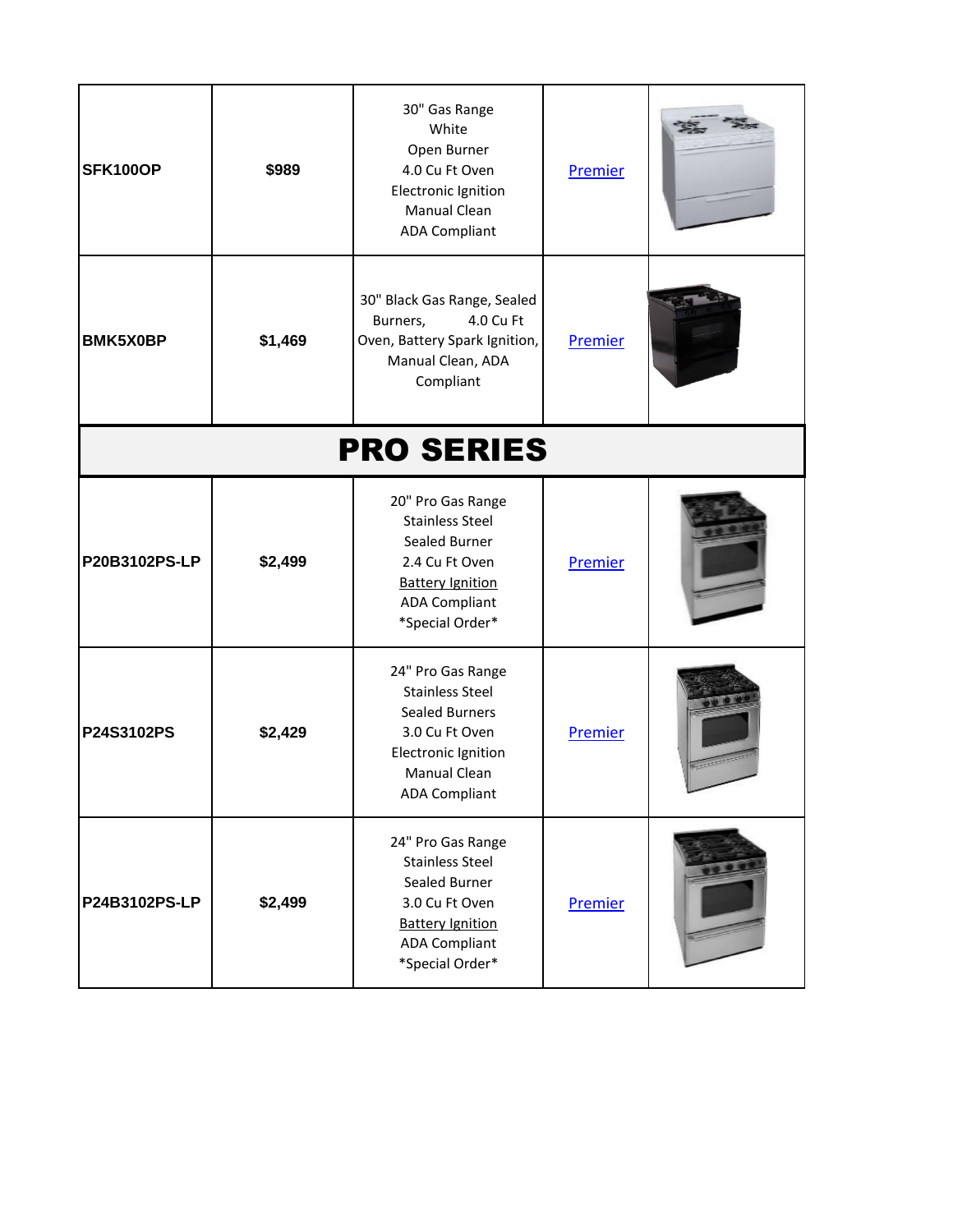| <b>SFK100OP</b>   | \$989   | 30" Gas Range<br>White<br>Open Burner<br>4.0 Cu Ft Oven<br>Electronic Ignition<br>Manual Clean<br><b>ADA Compliant</b>                                       | Premier |  |
|-------------------|---------|--------------------------------------------------------------------------------------------------------------------------------------------------------------|---------|--|
| <b>BMK5X0BP</b>   | \$1,469 | 30" Black Gas Range, Sealed<br>4.0 Cu Ft<br>Burners,<br>Oven, Battery Spark Ignition,<br>Manual Clean, ADA<br>Compliant                                      | Premier |  |
| <b>PRO SERIES</b> |         |                                                                                                                                                              |         |  |
| P20B3102PS-LP     | \$2,499 | 20" Pro Gas Range<br><b>Stainless Steel</b><br>Sealed Burner<br>2.4 Cu Ft Oven<br><b>Battery Ignition</b><br><b>ADA Compliant</b><br>*Special Order*         | Premier |  |
| P24S3102PS        | \$2,429 | 24" Pro Gas Range<br><b>Stainless Steel</b><br><b>Sealed Burners</b><br>3.0 Cu Ft Oven<br>Electronic Ignition<br><b>Manual Clean</b><br><b>ADA Compliant</b> | Premier |  |
| P24B3102PS-LP     | \$2,499 | 24" Pro Gas Range<br><b>Stainless Steel</b><br>Sealed Burner<br>3.0 Cu Ft Oven<br><b>Battery Ignition</b><br><b>ADA Compliant</b><br>*Special Order*         | Premier |  |